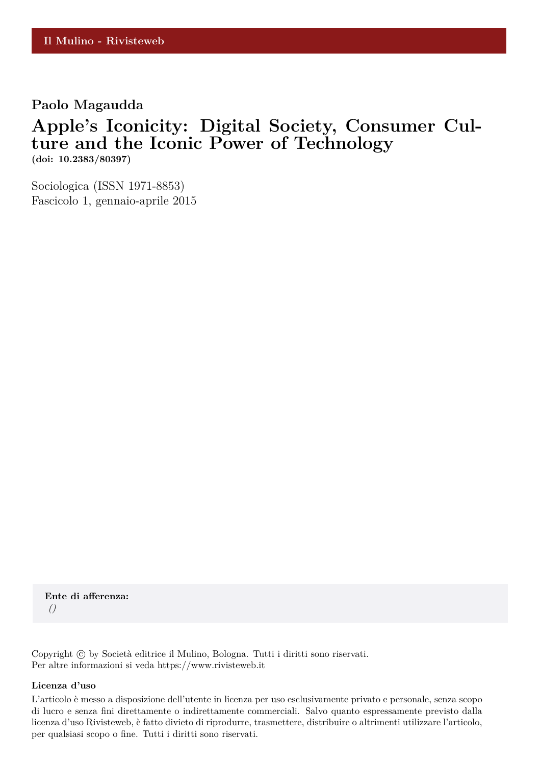## **Paolo Magaudda**

# **Apple's Iconicity: Digital Society, Consumer Culture and the Iconic Power of Technology (doi: 10.2383/80397)**

Sociologica (ISSN 1971-8853) Fascicolo 1, gennaio-aprile 2015

**Ente di afferenza:** *()*

Copyright © by Società editrice il Mulino, Bologna. Tutti i diritti sono riservati. Per altre informazioni si veda https://www.rivisteweb.it

#### **Licenza d'uso**

L'articolo è messo a disposizione dell'utente in licenza per uso esclusivamente privato e personale, senza scopo di lucro e senza fini direttamente o indirettamente commerciali. Salvo quanto espressamente previsto dalla licenza d'uso Rivisteweb, è fatto divieto di riprodurre, trasmettere, distribuire o altrimenti utilizzare l'articolo, per qualsiasi scopo o fine. Tutti i diritti sono riservati.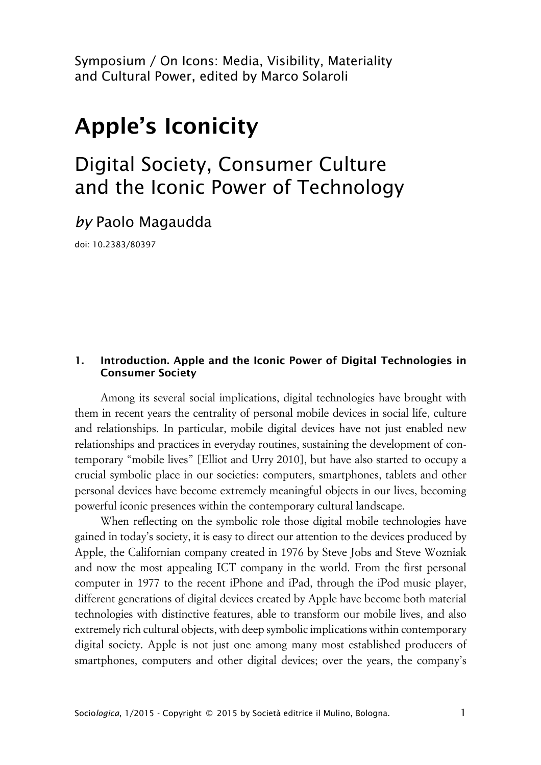Symposium / On Icons: Media, Visibility, Materiality and Cultural Power, edited by Marco Solaroli

# **Apple's Iconicity**

# Digital Society, Consumer Culture and the Iconic Power of Technology

# *by* Paolo Magaudda

doi: 10.2383/80397

### **1. Introduction. Apple and the Iconic Power of Digital Technologies in Consumer Society**

Among its several social implications, digital technologies have brought with them in recent years the centrality of personal mobile devices in social life, culture and relationships. In particular, mobile digital devices have not just enabled new relationships and practices in everyday routines, sustaining the development of contemporary "mobile lives" [Elliot and Urry 2010], but have also started to occupy a crucial symbolic place in our societies: computers, smartphones, tablets and other personal devices have become extremely meaningful objects in our lives, becoming powerful iconic presences within the contemporary cultural landscape.

When reflecting on the symbolic role those digital mobile technologies have gained in today's society, it is easy to direct our attention to the devices produced by Apple, the Californian company created in 1976 by Steve Jobs and Steve Wozniak and now the most appealing ICT company in the world. From the first personal computer in 1977 to the recent iPhone and iPad, through the iPod music player, different generations of digital devices created by Apple have become both material technologies with distinctive features, able to transform our mobile lives, and also extremely rich cultural objects, with deep symbolic implications within contemporary digital society. Apple is not just one among many most established producers of smartphones, computers and other digital devices; over the years, the company's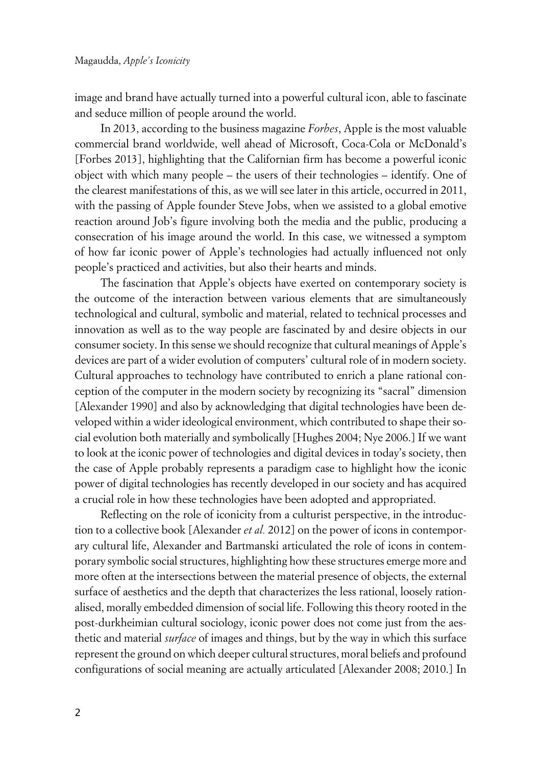image and brand have actually turned into a powerful cultural icon, able to fascinate and seduce million of people around the world.

In 2013, according to the business magazine *Forbes*, Apple is the most valuable commercial brand worldwide, well ahead of Microsoft, Coca-Cola or McDonald's [Forbes 2013], highlighting that the Californian firm has become a powerful iconic object with which many people – the users of their technologies – identify. One of the clearest manifestations of this, as we will see later in this article, occurred in 2011, with the passing of Apple founder Steve Jobs, when we assisted to a global emotive reaction around Job's figure involving both the media and the public, producing a consecration of his image around the world. In this case, we witnessed a symptom of how far iconic power of Apple's technologies had actually influenced not only people's practiced and activities, but also their hearts and minds.

The fascination that Apple's objects have exerted on contemporary society is the outcome of the interaction between various elements that are simultaneously technological and cultural, symbolic and material, related to technical processes and innovation as well as to the way people are fascinated by and desire objects in our consumer society. In this sense we should recognize that cultural meanings of Apple's devices are part of a wider evolution of computers' cultural role of in modern society. Cultural approaches to technology have contributed to enrich a plane rational conception of the computer in the modern society by recognizing its "sacral" dimension [Alexander 1990] and also by acknowledging that digital technologies have been developed within a wider ideological environment, which contributed to shape their social evolution both materially and symbolically [Hughes 2004; Nye 2006.] If we want to look at the iconic power of technologies and digital devices in today's society, then the case of Apple probably represents a paradigm case to highlight how the iconic power of digital technologies has recently developed in our society and has acquired a crucial role in how these technologies have been adopted and appropriated.

Reflecting on the role of iconicity from a culturist perspective, in the introduction to a collective book [Alexander *et al.* 2012] on the power of icons in contemporary cultural life, Alexander and Bartmanski articulated the role of icons in contemporary symbolic social structures, highlighting how these structures emerge more and more often at the intersections between the material presence of objects, the external surface of aesthetics and the depth that characterizes the less rational, loosely rationalised, morally embedded dimension of social life. Following this theory rooted in the post-durkheimian cultural sociology, iconic power does not come just from the aesthetic and material *surface* of images and things, but by the way in which this surface represent the ground on which deeper cultural structures, moral beliefs and profound configurations of social meaning are actually articulated [Alexander 2008; 2010.] In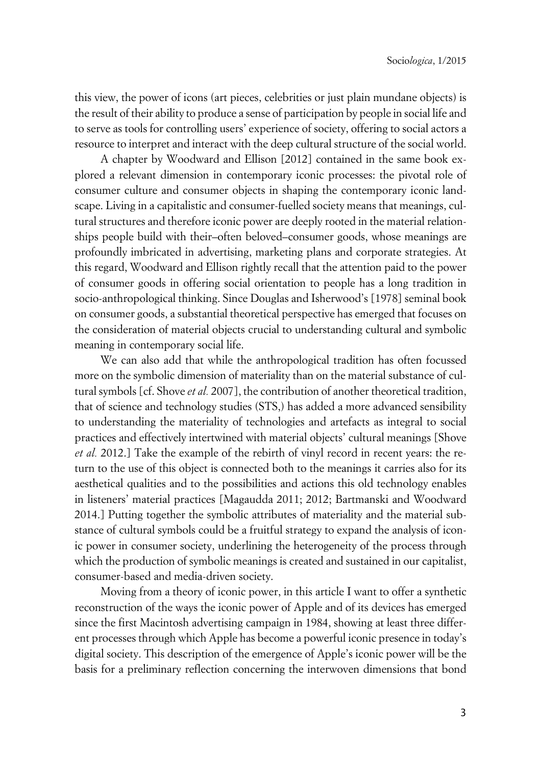this view, the power of icons (art pieces, celebrities or just plain mundane objects) is the result of their ability to produce a sense of participation by people in social life and to serve as tools for controlling users' experience of society, offering to social actors a resource to interpret and interact with the deep cultural structure of the social world.

A chapter by Woodward and Ellison [2012] contained in the same book explored a relevant dimension in contemporary iconic processes: the pivotal role of consumer culture and consumer objects in shaping the contemporary iconic landscape. Living in a capitalistic and consumer-fuelled society means that meanings, cultural structures and therefore iconic power are deeply rooted in the material relationships people build with their–often beloved–consumer goods, whose meanings are profoundly imbricated in advertising, marketing plans and corporate strategies. At this regard, Woodward and Ellison rightly recall that the attention paid to the power of consumer goods in offering social orientation to people has a long tradition in socio-anthropological thinking. Since Douglas and Isherwood's [1978] seminal book on consumer goods, a substantial theoretical perspective has emerged that focuses on the consideration of material objects crucial to understanding cultural and symbolic meaning in contemporary social life.

We can also add that while the anthropological tradition has often focussed more on the symbolic dimension of materiality than on the material substance of cultural symbols [cf. Shove *et al.* 2007], the contribution of another theoretical tradition, that of science and technology studies (STS,) has added a more advanced sensibility to understanding the materiality of technologies and artefacts as integral to social practices and effectively intertwined with material objects' cultural meanings [Shove *et al.* 2012.] Take the example of the rebirth of vinyl record in recent years: the return to the use of this object is connected both to the meanings it carries also for its aesthetical qualities and to the possibilities and actions this old technology enables in listeners' material practices [Magaudda 2011; 2012; Bartmanski and Woodward 2014.] Putting together the symbolic attributes of materiality and the material substance of cultural symbols could be a fruitful strategy to expand the analysis of iconic power in consumer society, underlining the heterogeneity of the process through which the production of symbolic meanings is created and sustained in our capitalist, consumer-based and media-driven society.

Moving from a theory of iconic power, in this article I want to offer a synthetic reconstruction of the ways the iconic power of Apple and of its devices has emerged since the first Macintosh advertising campaign in 1984, showing at least three different processes through which Apple has become a powerful iconic presence in today's digital society. This description of the emergence of Apple's iconic power will be the basis for a preliminary reflection concerning the interwoven dimensions that bond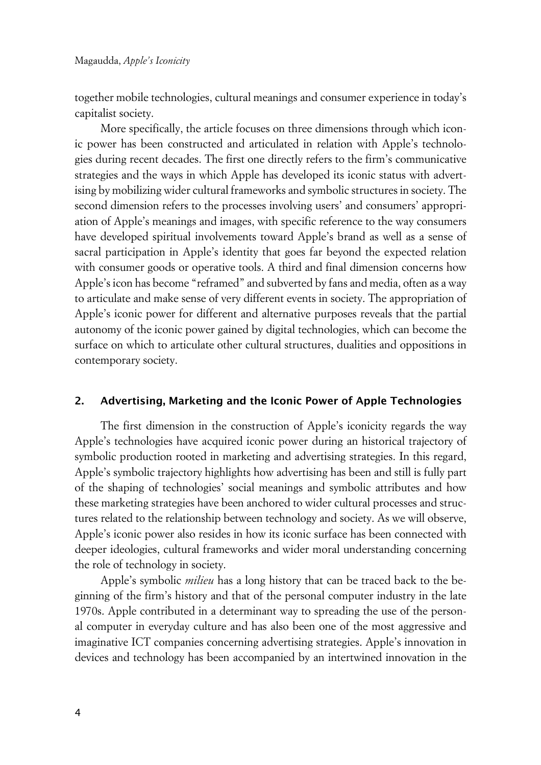together mobile technologies, cultural meanings and consumer experience in today's capitalist society.

More specifically, the article focuses on three dimensions through which iconic power has been constructed and articulated in relation with Apple's technologies during recent decades. The first one directly refers to the firm's communicative strategies and the ways in which Apple has developed its iconic status with advertising by mobilizing wider cultural frameworks and symbolic structures in society. The second dimension refers to the processes involving users' and consumers' appropriation of Apple's meanings and images, with specific reference to the way consumers have developed spiritual involvements toward Apple's brand as well as a sense of sacral participation in Apple's identity that goes far beyond the expected relation with consumer goods or operative tools. A third and final dimension concerns how Apple's icon has become "reframed" and subverted by fans and media, often as a way to articulate and make sense of very different events in society. The appropriation of Apple's iconic power for different and alternative purposes reveals that the partial autonomy of the iconic power gained by digital technologies, which can become the surface on which to articulate other cultural structures, dualities and oppositions in contemporary society.

#### **2. Advertising, Marketing and the Iconic Power of Apple Technologies**

The first dimension in the construction of Apple's iconicity regards the way Apple's technologies have acquired iconic power during an historical trajectory of symbolic production rooted in marketing and advertising strategies. In this regard, Apple's symbolic trajectory highlights how advertising has been and still is fully part of the shaping of technologies' social meanings and symbolic attributes and how these marketing strategies have been anchored to wider cultural processes and structures related to the relationship between technology and society. As we will observe, Apple's iconic power also resides in how its iconic surface has been connected with deeper ideologies, cultural frameworks and wider moral understanding concerning the role of technology in society.

Apple's symbolic *milieu* has a long history that can be traced back to the beginning of the firm's history and that of the personal computer industry in the late 1970s. Apple contributed in a determinant way to spreading the use of the personal computer in everyday culture and has also been one of the most aggressive and imaginative ICT companies concerning advertising strategies. Apple's innovation in devices and technology has been accompanied by an intertwined innovation in the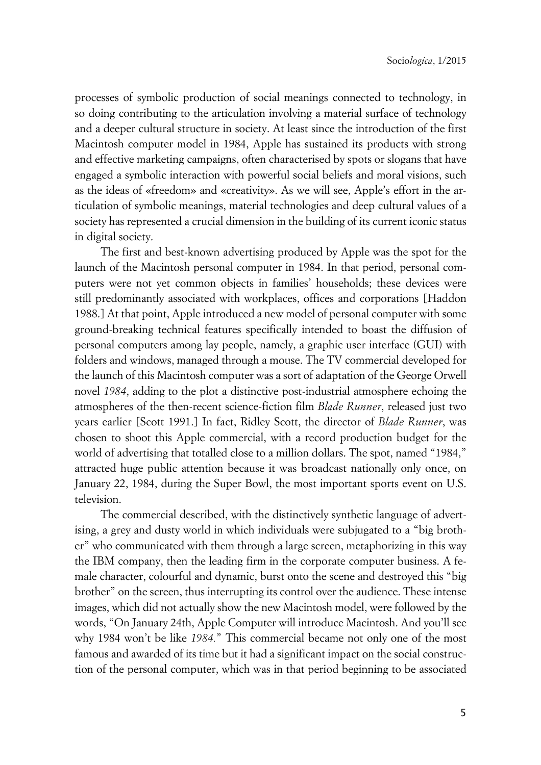processes of symbolic production of social meanings connected to technology, in so doing contributing to the articulation involving a material surface of technology and a deeper cultural structure in society. At least since the introduction of the first Macintosh computer model in 1984, Apple has sustained its products with strong and effective marketing campaigns, often characterised by spots or slogans that have engaged a symbolic interaction with powerful social beliefs and moral visions, such as the ideas of «freedom» and «creativity». As we will see, Apple's effort in the articulation of symbolic meanings, material technologies and deep cultural values of a society has represented a crucial dimension in the building of its current iconic status in digital society.

The first and best-known advertising produced by Apple was the spot for the launch of the Macintosh personal computer in 1984. In that period, personal computers were not yet common objects in families' households; these devices were still predominantly associated with workplaces, offices and corporations [Haddon 1988.] At that point, Apple introduced a new model of personal computer with some ground-breaking technical features specifically intended to boast the diffusion of personal computers among lay people, namely, a graphic user interface (GUI) with folders and windows, managed through a mouse. The TV commercial developed for the launch of this Macintosh computer was a sort of adaptation of the George Orwell novel *1984*, adding to the plot a distinctive post-industrial atmosphere echoing the atmospheres of the then-recent science-fiction film *Blade Runner*, released just two years earlier [Scott 1991.] In fact, Ridley Scott, the director of *Blade Runner*, was chosen to shoot this Apple commercial, with a record production budget for the world of advertising that totalled close to a million dollars. The spot, named "1984," attracted huge public attention because it was broadcast nationally only once, on January 22, 1984, during the Super Bowl, the most important sports event on U.S. television.

The commercial described, with the distinctively synthetic language of advertising, a grey and dusty world in which individuals were subjugated to a "big brother" who communicated with them through a large screen, metaphorizing in this way the IBM company, then the leading firm in the corporate computer business. A female character, colourful and dynamic, burst onto the scene and destroyed this "big brother" on the screen, thus interrupting its control over the audience. These intense images, which did not actually show the new Macintosh model, were followed by the words, "On January 24th, Apple Computer will introduce Macintosh. And you'll see why 1984 won't be like *1984.*" This commercial became not only one of the most famous and awarded of its time but it had a significant impact on the social construction of the personal computer, which was in that period beginning to be associated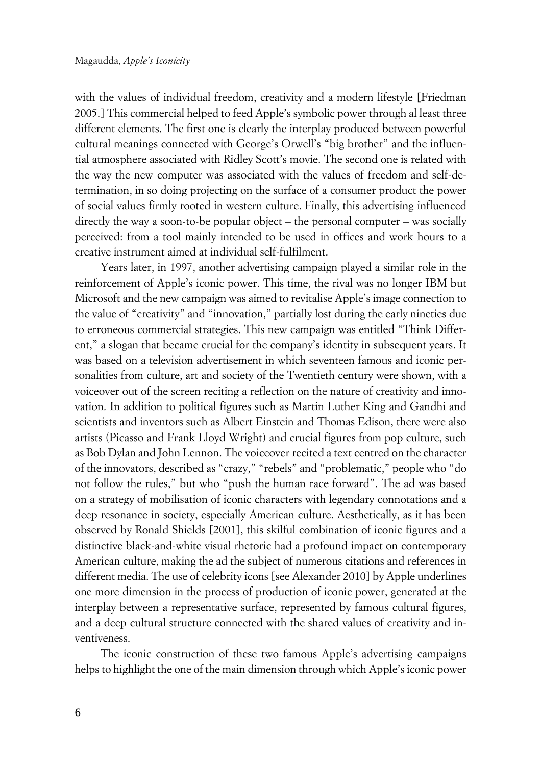with the values of individual freedom, creativity and a modern lifestyle [Friedman 2005.] This commercial helped to feed Apple's symbolic power through al least three different elements. The first one is clearly the interplay produced between powerful cultural meanings connected with George's Orwell's "big brother" and the influential atmosphere associated with Ridley Scott's movie. The second one is related with the way the new computer was associated with the values of freedom and self-determination, in so doing projecting on the surface of a consumer product the power of social values firmly rooted in western culture. Finally, this advertising influenced directly the way a soon-to-be popular object – the personal computer – was socially perceived: from a tool mainly intended to be used in offices and work hours to a creative instrument aimed at individual self-fulfilment.

Years later, in 1997, another advertising campaign played a similar role in the reinforcement of Apple's iconic power. This time, the rival was no longer IBM but Microsoft and the new campaign was aimed to revitalise Apple's image connection to the value of "creativity" and "innovation," partially lost during the early nineties due to erroneous commercial strategies. This new campaign was entitled "Think Different," a slogan that became crucial for the company's identity in subsequent years. It was based on a television advertisement in which seventeen famous and iconic personalities from culture, art and society of the Twentieth century were shown, with a voiceover out of the screen reciting a reflection on the nature of creativity and innovation. In addition to political figures such as Martin Luther King and Gandhi and scientists and inventors such as Albert Einstein and Thomas Edison, there were also artists (Picasso and Frank Lloyd Wright) and crucial figures from pop culture, such as Bob Dylan and John Lennon. The voiceover recited a text centred on the character of the innovators, described as "crazy," "rebels" and "problematic," people who "do not follow the rules," but who "push the human race forward". The ad was based on a strategy of mobilisation of iconic characters with legendary connotations and a deep resonance in society, especially American culture. Aesthetically, as it has been observed by Ronald Shields [2001], this skilful combination of iconic figures and a distinctive black-and-white visual rhetoric had a profound impact on contemporary American culture, making the ad the subject of numerous citations and references in different media. The use of celebrity icons [see Alexander 2010] by Apple underlines one more dimension in the process of production of iconic power, generated at the interplay between a representative surface, represented by famous cultural figures, and a deep cultural structure connected with the shared values of creativity and inventiveness.

The iconic construction of these two famous Apple's advertising campaigns helps to highlight the one of the main dimension through which Apple's iconic power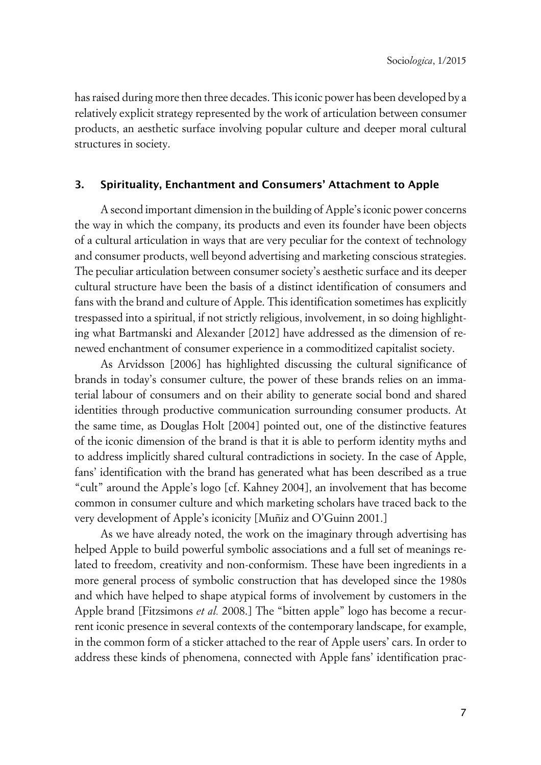has raised during more then three decades. This iconic power has been developed by a relatively explicit strategy represented by the work of articulation between consumer products, an aesthetic surface involving popular culture and deeper moral cultural structures in society.

#### **3. Spirituality, Enchantment and Consumers' Attachment to Apple**

A second important dimension in the building of Apple's iconic power concerns the way in which the company, its products and even its founder have been objects of a cultural articulation in ways that are very peculiar for the context of technology and consumer products, well beyond advertising and marketing conscious strategies. The peculiar articulation between consumer society's aesthetic surface and its deeper cultural structure have been the basis of a distinct identification of consumers and fans with the brand and culture of Apple. This identification sometimes has explicitly trespassed into a spiritual, if not strictly religious, involvement, in so doing highlighting what Bartmanski and Alexander [2012] have addressed as the dimension of renewed enchantment of consumer experience in a commoditized capitalist society.

As Arvidsson [2006] has highlighted discussing the cultural significance of brands in today's consumer culture, the power of these brands relies on an immaterial labour of consumers and on their ability to generate social bond and shared identities through productive communication surrounding consumer products. At the same time, as Douglas Holt [2004] pointed out, one of the distinctive features of the iconic dimension of the brand is that it is able to perform identity myths and to address implicitly shared cultural contradictions in society. In the case of Apple, fans' identification with the brand has generated what has been described as a true "cult" around the Apple's logo [cf. Kahney 2004], an involvement that has become common in consumer culture and which marketing scholars have traced back to the very development of Apple's iconicity [Muñiz and O'Guinn 2001.]

As we have already noted, the work on the imaginary through advertising has helped Apple to build powerful symbolic associations and a full set of meanings related to freedom, creativity and non-conformism. These have been ingredients in a more general process of symbolic construction that has developed since the 1980s and which have helped to shape atypical forms of involvement by customers in the Apple brand [Fitzsimons *et al.* 2008.] The "bitten apple" logo has become a recurrent iconic presence in several contexts of the contemporary landscape, for example, in the common form of a sticker attached to the rear of Apple users' cars. In order to address these kinds of phenomena, connected with Apple fans' identification prac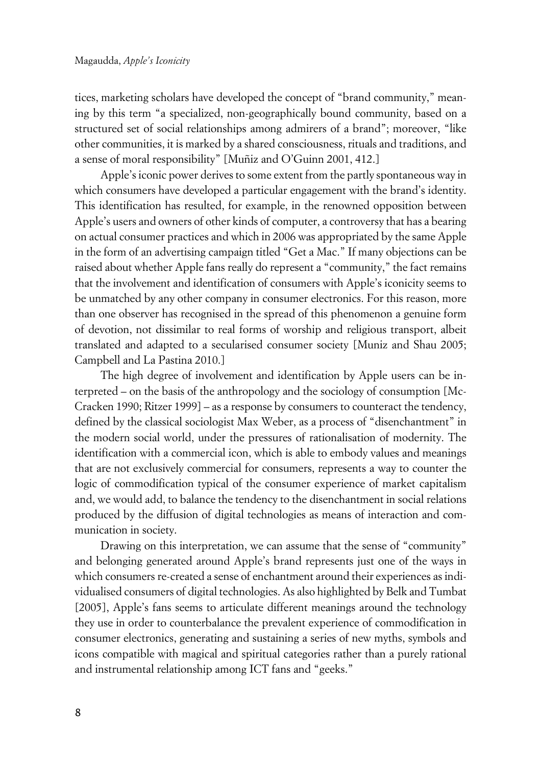tices, marketing scholars have developed the concept of "brand community," meaning by this term "a specialized, non-geographically bound community, based on a structured set of social relationships among admirers of a brand"; moreover, "like other communities, it is marked by a shared consciousness, rituals and traditions, and a sense of moral responsibility" [Muñiz and O'Guinn 2001, 412.]

Apple's iconic power derives to some extent from the partly spontaneous way in which consumers have developed a particular engagement with the brand's identity. This identification has resulted, for example, in the renowned opposition between Apple's users and owners of other kinds of computer, a controversy that has a bearing on actual consumer practices and which in 2006 was appropriated by the same Apple in the form of an advertising campaign titled "Get a Mac." If many objections can be raised about whether Apple fans really do represent a "community," the fact remains that the involvement and identification of consumers with Apple's iconicity seems to be unmatched by any other company in consumer electronics. For this reason, more than one observer has recognised in the spread of this phenomenon a genuine form of devotion, not dissimilar to real forms of worship and religious transport, albeit translated and adapted to a secularised consumer society [Muniz and Shau 2005; Campbell and La Pastina 2010.]

The high degree of involvement and identification by Apple users can be interpreted – on the basis of the anthropology and the sociology of consumption [Mc-Cracken 1990; Ritzer 1999] – as a response by consumers to counteract the tendency, defined by the classical sociologist Max Weber, as a process of "disenchantment" in the modern social world, under the pressures of rationalisation of modernity. The identification with a commercial icon, which is able to embody values and meanings that are not exclusively commercial for consumers, represents a way to counter the logic of commodification typical of the consumer experience of market capitalism and, we would add, to balance the tendency to the disenchantment in social relations produced by the diffusion of digital technologies as means of interaction and communication in society.

Drawing on this interpretation, we can assume that the sense of "community" and belonging generated around Apple's brand represents just one of the ways in which consumers re-created a sense of enchantment around their experiences as individualised consumers of digital technologies. As also highlighted by Belk and Tumbat [2005], Apple's fans seems to articulate different meanings around the technology they use in order to counterbalance the prevalent experience of commodification in consumer electronics, generating and sustaining a series of new myths, symbols and icons compatible with magical and spiritual categories rather than a purely rational and instrumental relationship among ICT fans and "geeks."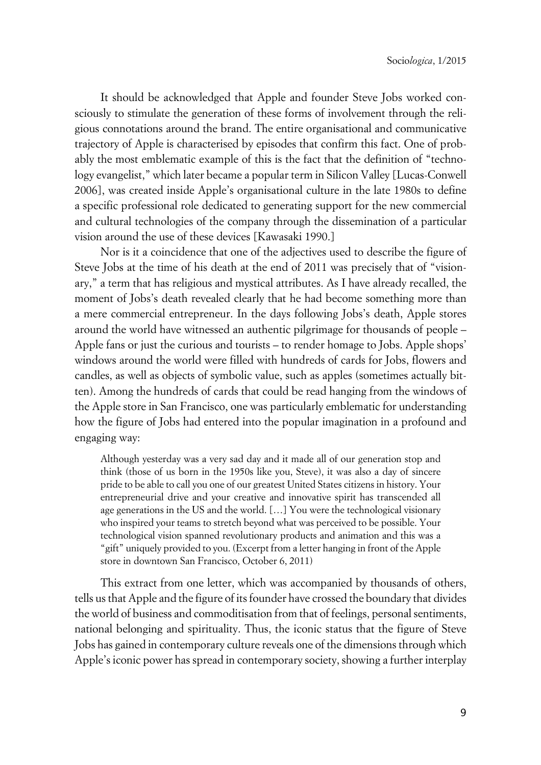It should be acknowledged that Apple and founder Steve Jobs worked consciously to stimulate the generation of these forms of involvement through the religious connotations around the brand. The entire organisational and communicative trajectory of Apple is characterised by episodes that confirm this fact. One of probably the most emblematic example of this is the fact that the definition of "technology evangelist," which later became a popular term in Silicon Valley [Lucas-Conwell 2006], was created inside Apple's organisational culture in the late 1980s to define a specific professional role dedicated to generating support for the new commercial and cultural technologies of the company through the dissemination of a particular vision around the use of these devices [Kawasaki 1990.]

Nor is it a coincidence that one of the adjectives used to describe the figure of Steve Jobs at the time of his death at the end of 2011 was precisely that of "visionary," a term that has religious and mystical attributes. As I have already recalled, the moment of Jobs's death revealed clearly that he had become something more than a mere commercial entrepreneur. In the days following Jobs's death, Apple stores around the world have witnessed an authentic pilgrimage for thousands of people – Apple fans or just the curious and tourists – to render homage to Jobs. Apple shops' windows around the world were filled with hundreds of cards for Jobs, flowers and candles, as well as objects of symbolic value, such as apples (sometimes actually bitten). Among the hundreds of cards that could be read hanging from the windows of the Apple store in San Francisco, one was particularly emblematic for understanding how the figure of Jobs had entered into the popular imagination in a profound and engaging way:

Although yesterday was a very sad day and it made all of our generation stop and think (those of us born in the 1950s like you, Steve), it was also a day of sincere pride to be able to call you one of our greatest United States citizens in history. Your entrepreneurial drive and your creative and innovative spirit has transcended all age generations in the US and the world. […] You were the technological visionary who inspired your teams to stretch beyond what was perceived to be possible. Your technological vision spanned revolutionary products and animation and this was a "gift" uniquely provided to you. (Excerpt from a letter hanging in front of the Apple store in downtown San Francisco, October 6, 2011)

This extract from one letter, which was accompanied by thousands of others, tells us that Apple and the figure of its founder have crossed the boundary that divides the world of business and commoditisation from that of feelings, personal sentiments, national belonging and spirituality. Thus, the iconic status that the figure of Steve Jobs has gained in contemporary culture reveals one of the dimensions through which Apple's iconic power has spread in contemporary society, showing a further interplay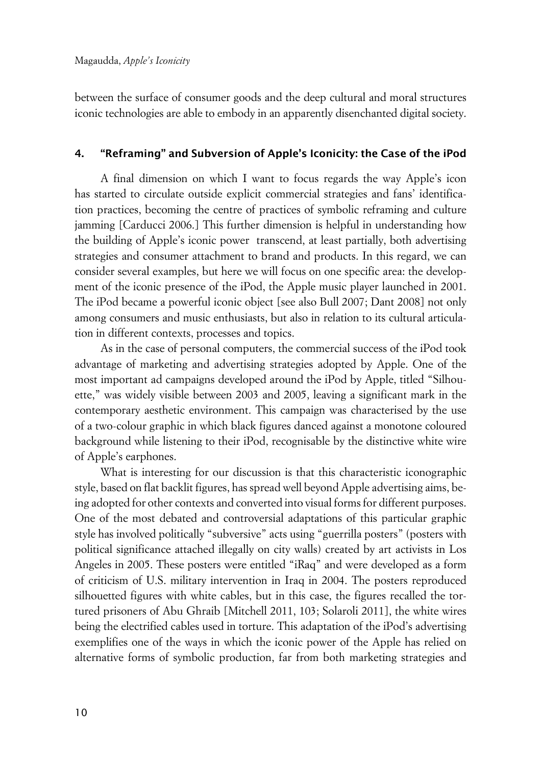between the surface of consumer goods and the deep cultural and moral structures iconic technologies are able to embody in an apparently disenchanted digital society.

### **4. "Reframing" and Subversion of Apple's Iconicity: the Case of the iPod**

A final dimension on which I want to focus regards the way Apple's icon has started to circulate outside explicit commercial strategies and fans' identification practices, becoming the centre of practices of symbolic reframing and culture jamming [Carducci 2006.] This further dimension is helpful in understanding how the building of Apple's iconic power transcend, at least partially, both advertising strategies and consumer attachment to brand and products. In this regard, we can consider several examples, but here we will focus on one specific area: the development of the iconic presence of the iPod, the Apple music player launched in 2001. The iPod became a powerful iconic object [see also Bull 2007; Dant 2008] not only among consumers and music enthusiasts, but also in relation to its cultural articulation in different contexts, processes and topics.

As in the case of personal computers, the commercial success of the iPod took advantage of marketing and advertising strategies adopted by Apple. One of the most important ad campaigns developed around the iPod by Apple, titled "Silhouette," was widely visible between 2003 and 2005, leaving a significant mark in the contemporary aesthetic environment. This campaign was characterised by the use of a two-colour graphic in which black figures danced against a monotone coloured background while listening to their iPod, recognisable by the distinctive white wire of Apple's earphones.

What is interesting for our discussion is that this characteristic iconographic style, based on flat backlit figures, has spread well beyond Apple advertising aims, being adopted for other contexts and converted into visual forms for different purposes. One of the most debated and controversial adaptations of this particular graphic style has involved politically "subversive" acts using "guerrilla posters" (posters with political significance attached illegally on city walls) created by art activists in Los Angeles in 2005. These posters were entitled "iRaq" and were developed as a form of criticism of U.S. military intervention in Iraq in 2004. The posters reproduced silhouetted figures with white cables, but in this case, the figures recalled the tortured prisoners of Abu Ghraib [Mitchell 2011, 103; Solaroli 2011], the white wires being the electrified cables used in torture. This adaptation of the iPod's advertising exemplifies one of the ways in which the iconic power of the Apple has relied on alternative forms of symbolic production, far from both marketing strategies and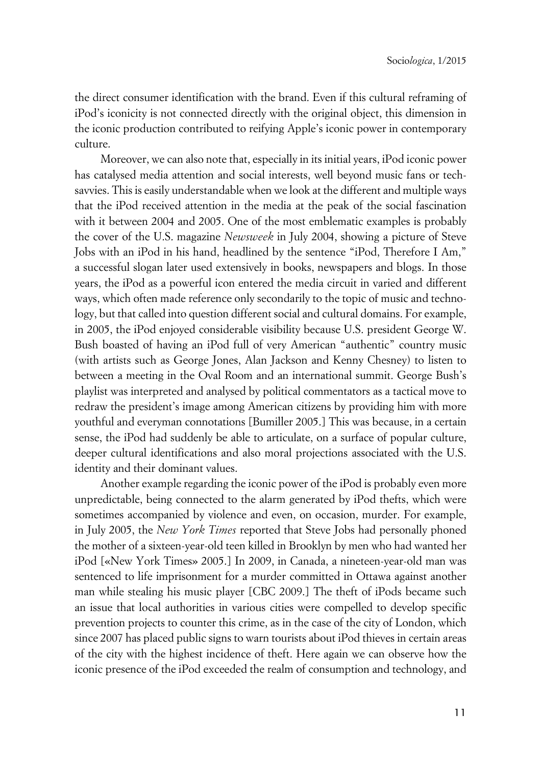the direct consumer identification with the brand. Even if this cultural reframing of iPod's iconicity is not connected directly with the original object, this dimension in the iconic production contributed to reifying Apple's iconic power in contemporary culture.

Moreover, we can also note that, especially in its initial years, iPod iconic power has catalysed media attention and social interests, well beyond music fans or techsavvies. This is easily understandable when we look at the different and multiple ways that the iPod received attention in the media at the peak of the social fascination with it between 2004 and 2005. One of the most emblematic examples is probably the cover of the U.S. magazine *Newsweek* in July 2004, showing a picture of Steve Jobs with an iPod in his hand, headlined by the sentence "iPod, Therefore I Am," a successful slogan later used extensively in books, newspapers and blogs. In those years, the iPod as a powerful icon entered the media circuit in varied and different ways, which often made reference only secondarily to the topic of music and technology, but that called into question different social and cultural domains. For example, in 2005, the iPod enjoyed considerable visibility because U.S. president George W. Bush boasted of having an iPod full of very American "authentic" country music (with artists such as George Jones, Alan Jackson and Kenny Chesney) to listen to between a meeting in the Oval Room and an international summit. George Bush's playlist was interpreted and analysed by political commentators as a tactical move to redraw the president's image among American citizens by providing him with more youthful and everyman connotations [Bumiller 2005.] This was because, in a certain sense, the iPod had suddenly be able to articulate, on a surface of popular culture, deeper cultural identifications and also moral projections associated with the U.S. identity and their dominant values.

Another example regarding the iconic power of the iPod is probably even more unpredictable, being connected to the alarm generated by iPod thefts, which were sometimes accompanied by violence and even, on occasion, murder. For example, in July 2005, the *New York Times* reported that Steve Jobs had personally phoned the mother of a sixteen-year-old teen killed in Brooklyn by men who had wanted her iPod [«New York Times» 2005.] In 2009, in Canada, a nineteen-year-old man was sentenced to life imprisonment for a murder committed in Ottawa against another man while stealing his music player [CBC 2009.] The theft of iPods became such an issue that local authorities in various cities were compelled to develop specific prevention projects to counter this crime, as in the case of the city of London, which since 2007 has placed public signs to warn tourists about iPod thieves in certain areas of the city with the highest incidence of theft. Here again we can observe how the iconic presence of the iPod exceeded the realm of consumption and technology, and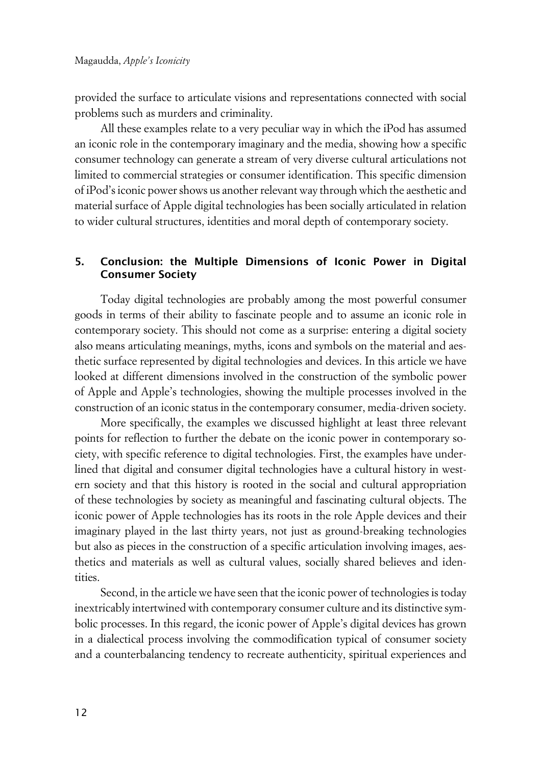provided the surface to articulate visions and representations connected with social problems such as murders and criminality.

All these examples relate to a very peculiar way in which the iPod has assumed an iconic role in the contemporary imaginary and the media, showing how a specific consumer technology can generate a stream of very diverse cultural articulations not limited to commercial strategies or consumer identification. This specific dimension of iPod's iconic power shows us another relevant way through which the aesthetic and material surface of Apple digital technologies has been socially articulated in relation to wider cultural structures, identities and moral depth of contemporary society.

### **5. Conclusion: the Multiple Dimensions of Iconic Power in Digital Consumer Society**

Today digital technologies are probably among the most powerful consumer goods in terms of their ability to fascinate people and to assume an iconic role in contemporary society. This should not come as a surprise: entering a digital society also means articulating meanings, myths, icons and symbols on the material and aesthetic surface represented by digital technologies and devices. In this article we have looked at different dimensions involved in the construction of the symbolic power of Apple and Apple's technologies, showing the multiple processes involved in the construction of an iconic status in the contemporary consumer, media-driven society.

More specifically, the examples we discussed highlight at least three relevant points for reflection to further the debate on the iconic power in contemporary society, with specific reference to digital technologies. First, the examples have underlined that digital and consumer digital technologies have a cultural history in western society and that this history is rooted in the social and cultural appropriation of these technologies by society as meaningful and fascinating cultural objects. The iconic power of Apple technologies has its roots in the role Apple devices and their imaginary played in the last thirty years, not just as ground-breaking technologies but also as pieces in the construction of a specific articulation involving images, aesthetics and materials as well as cultural values, socially shared believes and identities.

Second, in the article we have seen that the iconic power of technologies is today inextricably intertwined with contemporary consumer culture and its distinctive symbolic processes. In this regard, the iconic power of Apple's digital devices has grown in a dialectical process involving the commodification typical of consumer society and a counterbalancing tendency to recreate authenticity, spiritual experiences and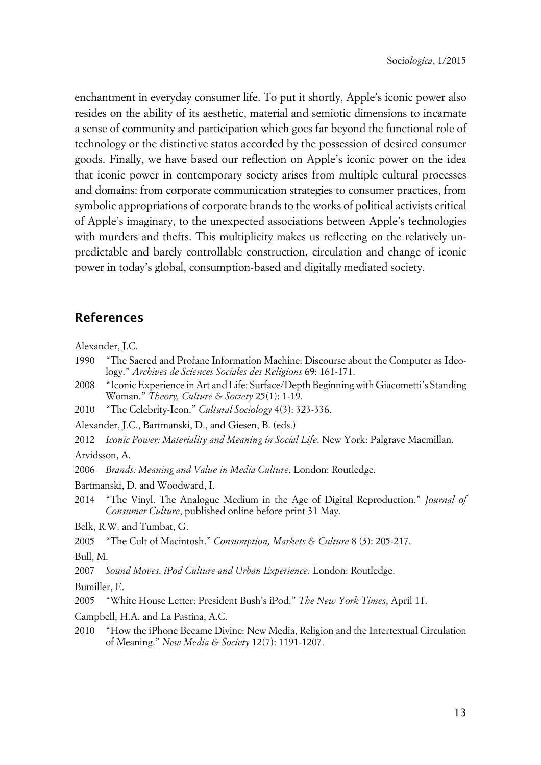enchantment in everyday consumer life. To put it shortly, Apple's iconic power also resides on the ability of its aesthetic, material and semiotic dimensions to incarnate a sense of community and participation which goes far beyond the functional role of technology or the distinctive status accorded by the possession of desired consumer goods. Finally, we have based our reflection on Apple's iconic power on the idea that iconic power in contemporary society arises from multiple cultural processes and domains: from corporate communication strategies to consumer practices, from symbolic appropriations of corporate brands to the works of political activists critical of Apple's imaginary, to the unexpected associations between Apple's technologies with murders and thefts. This multiplicity makes us reflecting on the relatively unpredictable and barely controllable construction, circulation and change of iconic power in today's global, consumption-based and digitally mediated society.

## **References**

Alexander, J.C.

- 1990 "The Sacred and Profane Information Machine: Discourse about the Computer as Ideology." *Archives de Sciences Sociales des Religions* 69: 161-171.
- 2008 "Iconic Experience in Art and Life: Surface/Depth Beginning with Giacometti's Standing Woman." *Theory, Culture & Society* 25(1): 1-19.
- 2010 "The Celebrity-Icon." *Cultural Sociology* 4(3): 323-336.
- Alexander, J.C., Bartmanski, D., and Giesen, B. (eds.)
- 2012 *Iconic Power: Materiality and Meaning in Social Life*. New York: Palgrave Macmillan.

Arvidsson, A.

2006 *Brands: Meaning and Value in Media Culture*. London: Routledge.

Bartmanski, D. and Woodward, I.

2014 "The Vinyl. The Analogue Medium in the Age of Digital Reproduction." *Journal of Consumer Culture*, published online before print 31 May.

Belk, R.W. and Tumbat, G.

2005 "The Cult of Macintosh." *Consumption, Markets & Culture* 8 (3): 205-217.

Bull, M.

2007 *Sound Moves. iPod Culture and Urban Experience*. London: Routledge.

Bumiller, E.

2005 "White House Letter: President Bush's iPod." *The New York Times*, April 11.

Campbell, H.A. and La Pastina, A.C.

2010 "How the iPhone Became Divine: New Media, Religion and the Intertextual Circulation of Meaning." *New Media & Society* 12(7): 1191-1207.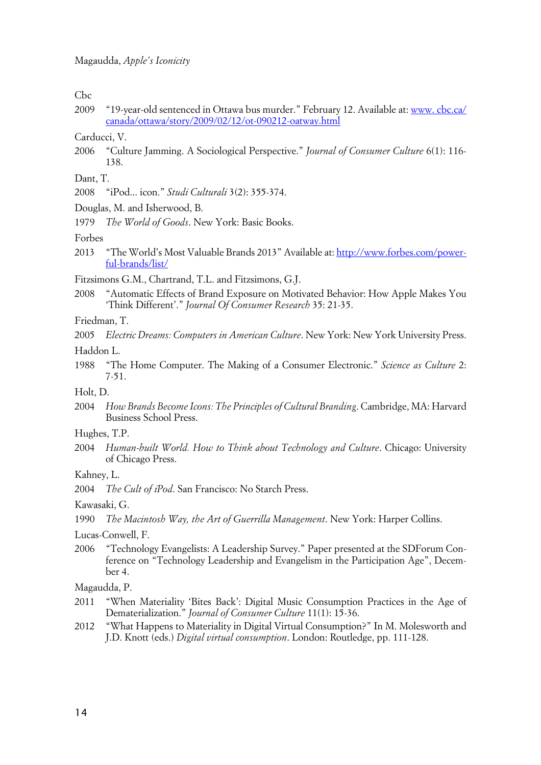Cbc

2009 "19-year-old sentenced in Ottawa bus murder." February 12. Available at: [www. cbc.ca/](http://www.cbc.ca/canada/ottawa/story/2009/02/12/ot-090212-oatway.html) [canada/ottawa/story/2009/02/12/ot-090212-oatway.html](http://www.cbc.ca/canada/ottawa/story/2009/02/12/ot-090212-oatway.html)

Carducci, V.

2006 "Culture Jamming. A Sociological Perspective." *Journal of Consumer Culture* 6(1): 116- 138.

Dant, T.

2008 "iPod... icon." *Studi Culturali* 3(2): 355-374.

- Douglas, M. and Isherwood, B.
- 1979 *The World of Goods*. New York: Basic Books.

Forbes

2013 "The World's Most Valuable Brands 2013" Available at: [http://www.forbes.com/power](http://www.forbes.com/powerful-brands/list/)[ful-brands/list/](http://www.forbes.com/powerful-brands/list/)

Fitzsimons G.M., Chartrand, T.L. and Fitzsimons, G.J.

2008 "Automatic Effects of Brand Exposure on Motivated Behavior: How Apple Makes You 'Think Different'." *Journal Of Consumer Research* 35: 21-35.

Friedman, T.

2005 *Electric Dreams: Computers in American Culture*. New York: New York University Press.

Haddon L.

1988 "The Home Computer. The Making of a Consumer Electronic." *Science as Culture* 2: 7-51.

Holt, D.

- 2004 *How Brands Become Icons: The Principles of Cultural Branding*. Cambridge, MA: Harvard Business School Press.
- Hughes, T.P.
- 2004 *Human-built World. How to Think about Technology and Culture*. Chicago: University of Chicago Press.

Kahney, L.

2004 *The Cult of iPod*. San Francisco: No Starch Press.

Kawasaki, G.

1990 *The Macintosh Way, the Art of Guerrilla Management*. New York: Harper Collins.

Lucas-Conwell, F.

2006 "Technology Evangelists: A Leadership Survey." Paper presented at the SDForum Conference on "Technology Leadership and Evangelism in the Participation Age", December 4.

Magaudda, P.

- 2011 "When Materiality 'Bites Back': Digital Music Consumption Practices in the Age of Dematerialization." *Journal of Consumer Culture* 11(1): 15-36.
- 2012 "What Happens to Materiality in Digital Virtual Consumption?" In M. Molesworth and J.D. Knott (eds.) *Digital virtual consumption*. London: Routledge, pp. 111-128.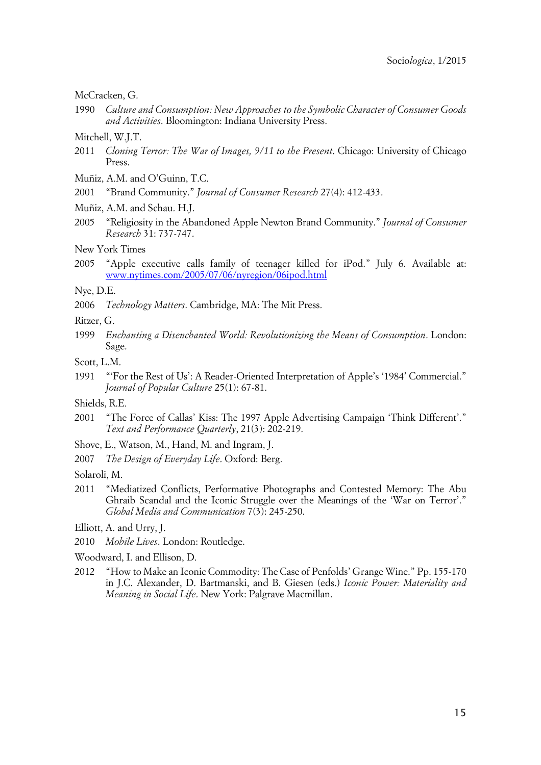#### McCracken, G.

- 1990 *Culture and Consumption: New Approaches to the Symbolic Character of Consumer Goods and Activities*. Bloomington: Indiana University Press.
- Mitchell, W.J.T.
- 2011 *Cloning Terror: The War of Images, 9/11 to the Present*. Chicago: University of Chicago Press.
- Muñiz, A.M. and O'Guinn, T.C.
- 2001 "Brand Community." *Journal of Consumer Research* 27(4): 412-433.
- Muñiz, A.M. and Schau. H.J.
- 2005 "Religiosity in the Abandoned Apple Newton Brand Community." *Journal of Consumer Research* 31: 737-747.

#### New York Times

2005 "Apple executive calls family of teenager killed for iPod." July 6. Available at: [www.nytimes.com/2005/07/06/nyregion/06ipod.html](http://www.nytimes.com/2005/07/06/nyregion/06ipod.htm)

#### Nye, D.E.

2006 *Technology Matters*. Cambridge, MA: The Mit Press.

Ritzer, G.

- 1999 *Enchanting a Disenchanted World: Revolutionizing the Means of Consumption*. London: Sage.
- Scott, L.M.
- 1991 "'For the Rest of Us': A Reader-Oriented Interpretation of Apple's '1984' Commercial." *Journal of Popular Culture* 25(1): 67-81.
- Shields, R.E.
- 2001 "The Force of Callas' Kiss: The 1997 Apple Advertising Campaign 'Think Different'." *Text and Performance Quarterly*, 21(3): 202-219.
- Shove, E., Watson, M., Hand, M. and Ingram, J.
- 2007 *The Design of Everyday Life*. Oxford: Berg.
- Solaroli, M.
- 2011 "Mediatized Conflicts, Performative Photographs and Contested Memory: The Abu Ghraib Scandal and the Iconic Struggle over the Meanings of the 'War on Terror'." *Global Media and Communication* 7(3): 245-250.
- Elliott, A. and Urry, J.
- 2010 *Mobile Lives*. London: Routledge.
- Woodward, I. and Ellison, D.
- 2012 "How to Make an Iconic Commodity: The Case of Penfolds' Grange Wine." Pp. 155-170 in J.C. Alexander, D. Bartmanski, and B. Giesen (eds.) *Iconic Power: Materiality and Meaning in Social Life*. New York: Palgrave Macmillan.